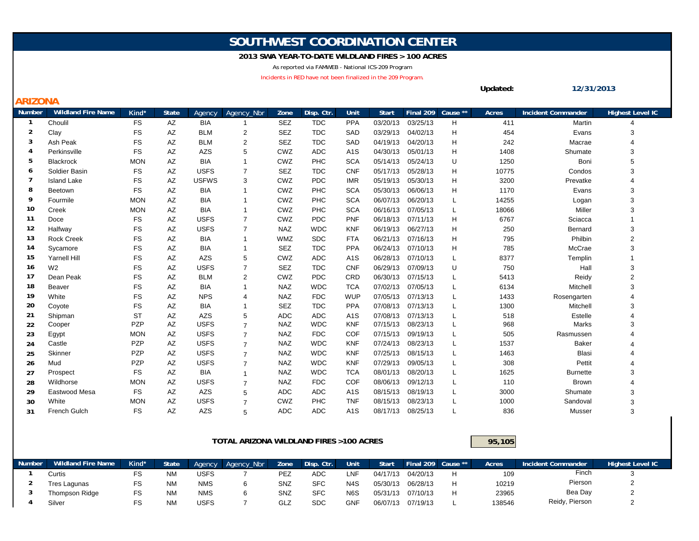## **SOUTHWEST COORDINATION CENTER**

## **2013 SWA YEAR-TO-DATE WILDLAND FIRES > 100 ACRES**

As reported via FAMWEB - National ICS-209 Program

Incidents in RED have not been finalized in the 209 Program.

**ARIZONA**

| <b>Number</b>  | <b>Wildland Fire Name</b> | Kind*      | <b>State</b> | Agency       | Agency Nbr     | Zone       | Disp. Ctr. | Unit             | <b>Start</b> | Final 209 | Cause ** | Acres | <b>Incident Commander</b> | <b>Highest Level IC</b> |
|----------------|---------------------------|------------|--------------|--------------|----------------|------------|------------|------------------|--------------|-----------|----------|-------|---------------------------|-------------------------|
| -1             | Choulil                   | <b>FS</b>  | AZ           | <b>BIA</b>   | -1             | <b>SEZ</b> | <b>TDC</b> | <b>PPA</b>       | 03/20/13     | 03/25/13  | H        | 411   | Martin                    |                         |
| 2              | Clay                      | <b>FS</b>  | AZ           | <b>BLM</b>   | 2              | <b>SEZ</b> | <b>TDC</b> | SAD              | 03/29/13     | 04/02/13  | H        | 454   | Evans                     | 3                       |
| 3              | Ash Peak                  | <b>FS</b>  | AZ           | <b>BLM</b>   | $\overline{2}$ | <b>SEZ</b> | <b>TDC</b> | SAD              | 04/19/13     | 04/20/13  | н        | 242   | Macrae                    | 4                       |
| $\overline{4}$ | Perkinsville              | <b>FS</b>  | AZ           | AZS          | 5              | CWZ        | <b>ADC</b> | A <sub>1</sub> S | 04/30/13     | 05/01/13  | н        | 1408  | Shumate                   | 3                       |
| 5              | <b>Blackrock</b>          | <b>MON</b> | AZ           | <b>BIA</b>   |                | CWZ        | PHC        | <b>SCA</b>       | 05/14/13     | 05/24/13  | U        | 1250  | Boni                      | 5                       |
| 6              | Soldier Basin             | FS         | AZ           | <b>USFS</b>  | $\overline{7}$ | <b>SEZ</b> | <b>TDC</b> | <b>CNF</b>       | 05/17/13     | 05/28/13  | H        | 10775 | Condos                    | 3                       |
| 7              | <b>Island Lake</b>        | <b>FS</b>  | AZ           | <b>USFWS</b> | 3              | CWZ        | <b>PDC</b> | <b>IMR</b>       | 05/19/13     | 05/30/13  | н        | 3200  | Prevatke                  | 4                       |
| 8              | Beetown                   | <b>FS</b>  | AZ           | <b>BIA</b>   | $\mathbf{1}$   | CWZ        | PHC        | <b>SCA</b>       | 05/30/13     | 06/06/13  | H        | 1170  | Evans                     | 3                       |
| 9              | Fourmile                  | <b>MON</b> | AZ           | <b>BIA</b>   | $\mathbf{1}$   | CWZ        | PHC        | <b>SCA</b>       | 06/07/13     | 06/20/13  | L        | 14255 | Logan                     | 3                       |
| 10             | Creek                     | <b>MON</b> | AZ           | <b>BIA</b>   |                | CWZ        | PHC        | <b>SCA</b>       | 06/16/13     | 07/05/13  | L        | 18066 | Miller                    | 3                       |
| 11             | Doce                      | <b>FS</b>  | AZ           | <b>USFS</b>  | $\overline{7}$ | CWZ        | <b>PDC</b> | <b>PNF</b>       | 06/18/13     | 07/11/13  | н        | 6767  | Sciacca                   |                         |
| 12             | Halfway                   | <b>FS</b>  | AZ           | <b>USFS</b>  | $\overline{7}$ | <b>NAZ</b> | <b>WDC</b> | <b>KNF</b>       | 06/19/13     | 06/27/13  | н        | 250   | Bernard                   | 3                       |
| 13             | <b>Rock Creek</b>         | <b>FS</b>  | AZ           | <b>BIA</b>   | $\mathbf{1}$   | <b>WMZ</b> | <b>SDC</b> | <b>FTA</b>       | 06/21/13     | 07/16/13  | н        | 795   | Philbin                   | $\overline{2}$          |
| 14             | Sycamore                  | <b>FS</b>  | AZ           | <b>BIA</b>   | $\mathbf{1}$   | <b>SEZ</b> | <b>TDC</b> | <b>PPA</b>       | 06/24/13     | 07/10/13  | н        | 785   | McCrae                    | 3                       |
| 15             | <b>Yarnell Hill</b>       | <b>FS</b>  | AZ           | AZS          | 5              | CWZ        | <b>ADC</b> | A <sub>1</sub> S | 06/28/13     | 07/10/13  | L        | 8377  | Templin                   |                         |
| 16             | W <sub>2</sub>            | <b>FS</b>  | AZ           | <b>USFS</b>  | $\overline{7}$ | <b>SEZ</b> | <b>TDC</b> | <b>CNF</b>       | 06/29/13     | 07/09/13  | U        | 750   | Hall                      | 3                       |
| 17             | Dean Peak                 | <b>FS</b>  | AZ           | <b>BLM</b>   | $\overline{2}$ | CWZ        | <b>PDC</b> | CRD              | 06/30/13     | 07/15/13  | L        | 5413  | Reidy                     | $\overline{2}$          |
| 18             | Beaver                    | <b>FS</b>  | AZ           | <b>BIA</b>   | 1              | <b>NAZ</b> | <b>WDC</b> | <b>TCA</b>       | 07/02/13     | 07/05/13  | L        | 6134  | Mitchell                  | 3                       |
| 19             | White                     | <b>FS</b>  | AZ           | <b>NPS</b>   | $\overline{4}$ | <b>NAZ</b> | <b>FDC</b> | <b>WUP</b>       | 07/05/13     | 07/13/13  | L        | 1433  | Rosengarten               | 4                       |
| 20             | Coyote                    | <b>FS</b>  | AZ           | <b>BIA</b>   | -1             | <b>SEZ</b> | <b>TDC</b> | <b>PPA</b>       | 07/08/13     | 07/13/13  | L        | 1300  | Mitchell                  | 3                       |
| 21             | Shipman                   | <b>ST</b>  | AZ           | <b>AZS</b>   | 5              | <b>ADC</b> | <b>ADC</b> | A <sub>1</sub> S | 07/08/13     | 07/13/13  | L        | 518   | Estelle                   |                         |
| 22             | Cooper                    | PZP        | AZ           | <b>USFS</b>  | $\overline{7}$ | <b>NAZ</b> | <b>WDC</b> | <b>KNF</b>       | 07/15/13     | 08/23/13  | L        | 968   | Marks                     | 3                       |
| 23             | Egypt                     | <b>MON</b> | AZ           | <b>USFS</b>  | $\overline{7}$ | <b>NAZ</b> | <b>FDC</b> | <b>COF</b>       | 07/15/13     | 09/19/13  | L        | 505   | Rasmussen                 | 4                       |
| 24             | Castle                    | PZP        | AZ           | <b>USFS</b>  | $\overline{7}$ | <b>NAZ</b> | <b>WDC</b> | <b>KNF</b>       | 07/24/13     | 08/23/13  | L        | 1537  | <b>Baker</b>              | 4                       |
| 25             | Skinner                   | <b>PZP</b> | AZ           | <b>USFS</b>  | $\overline{7}$ | <b>NAZ</b> | <b>WDC</b> | <b>KNF</b>       | 07/25/13     | 08/15/13  | L        | 1463  | <b>Blasi</b>              | 4                       |
| 26             | Mud                       | PZP        | AZ           | <b>USFS</b>  | $\overline{7}$ | <b>NAZ</b> | <b>WDC</b> | <b>KNF</b>       | 07/29/13     | 09/05/13  | L        | 308   | Pettit                    | 4                       |
| 27             | Prospect                  | <b>FS</b>  | AZ           | <b>BIA</b>   | $\mathbf{1}$   | <b>NAZ</b> | <b>WDC</b> | <b>TCA</b>       | 08/01/13     | 08/20/13  | L        | 1625  | <b>Burnette</b>           | 3                       |
| 28             | Wildhorse                 | <b>MON</b> | AZ           | <b>USFS</b>  | $\overline{7}$ | <b>NAZ</b> | <b>FDC</b> | <b>COF</b>       | 08/06/13     | 09/12/13  | L        | 110   | <b>Brown</b>              |                         |
| 29             | Eastwood Mesa             | <b>FS</b>  | AZ           | AZS          | 5              | <b>ADC</b> | <b>ADC</b> | A <sub>1</sub> S | 08/15/13     | 08/19/13  | L        | 3000  | Shumate                   | 3                       |
| 30             | White                     | <b>MON</b> | AZ           | <b>USFS</b>  | $\overline{7}$ | CWZ        | PHC        | <b>TNF</b>       | 08/15/13     | 08/23/13  | L        | 1000  | Sandoval                  | 3                       |
| 31             | French Gulch              | FS         | AZ           | AZS          | 5              | <b>ADC</b> | <b>ADC</b> | A <sub>1</sub> S | 08/17/13     | 08/25/13  |          | 836   | Musser                    | 3                       |

## **TOTAL ARIZONA WILDLAND FIRES >100 ACRES**

**95,105**

**Updated:**

**12/31/2013**

| Number | <b>Wildland Fire Name</b> | Kind* | <b>State</b> | Agency      | Agency_Nbr | Zone       | Disp. Ctr. | <b>Unit</b>      | <b>Start</b> | Final 209 Cause ** | Acres  | Incident Commander | <b>Highest Level IC</b> |
|--------|---------------------------|-------|--------------|-------------|------------|------------|------------|------------------|--------------|--------------------|--------|--------------------|-------------------------|
|        | Curtis                    |       | <b>NM</b>    | <b>USFS</b> |            | <b>PEZ</b> | <b>ADC</b> | LNF              | 04/17/13     | 04/20/13           | 109    | Finch              |                         |
|        | Tres Lagunas              | FS    | <b>NM</b>    | <b>NMS</b>  |            | SNZ        | <b>SFC</b> | N <sub>4</sub> S | 05/30/13     | 06/28/13           | 10219  | Pierson            |                         |
|        | Thompson Ridge            | FS    | <b>NM</b>    | <b>NMS</b>  |            | SNZ        | <b>SFC</b> | N <sub>6</sub> S | 05/31/13     | 07/10/13           | 23965  | Bea Day            |                         |
|        | Silver                    | FS    | <b>NM</b>    | <b>USFS</b> |            | GLZ        | <b>SDC</b> | <b>GNF</b>       | 06/07/13     | 07/19/13           | 138546 | Reidy, Pierson     |                         |